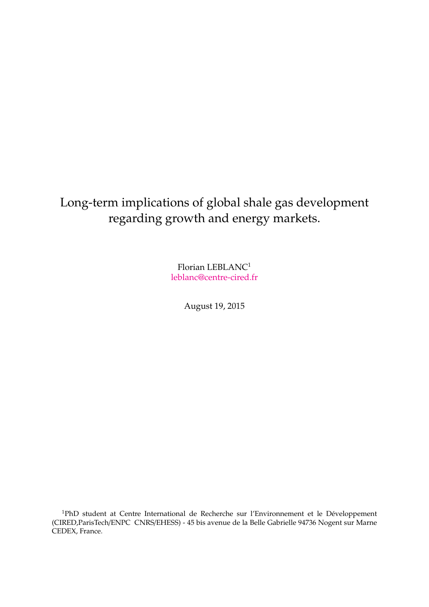## Long-term implications of global shale gas development regarding growth and energy markets.

Florian LEBLANC<sup>1</sup> leblanc@centre-cired.fr

August 19, 2015

<sup>1</sup>PhD student at Centre International de Recherche sur l'Environnement et le Développement (CIRED,ParisTech/ENPC CNRS/EHESS) - 45 bis avenue de la Belle Gabrielle 94736 Nogent sur Marne CEDEX, France.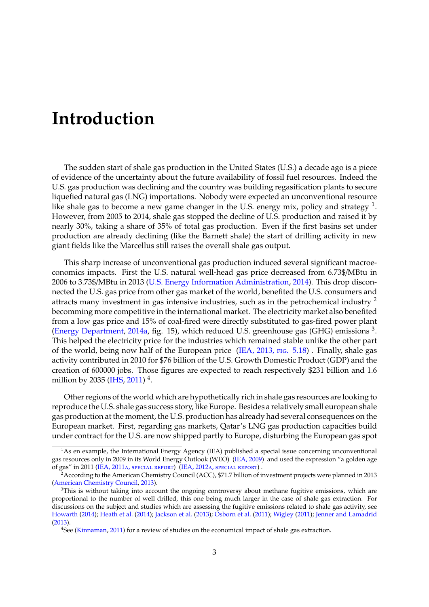## Introduction

The sudden start of shale gas production in the United States (U.S.) a decade ago is a piece of evidence of the uncertainty about the future availability of fossil fuel resources. Indeed the U.S. gas production was declining and the country was building regasification plants to secure liquefied natural gas (LNG) importations. Nobody were expected an unconventional resource like shale gas to become a new game changer in the U.S. energy mix, policy and strategy  $<sup>1</sup>$ .</sup> However, from 2005 to 2014, shale gas stopped the decline of U.S. production and raised it by nearly 30%, taking a share of 35% of total gas production. Even if the first basins set under production are already declining (like the Barnett shale) the start of drilling activity in new giant fields like the Marcellus still raises the overall shale gas output.

This sharp increase of unconventional gas production induced several significant macroeconomics impacts. First the U.S. natural well-head gas price decreased from 6.73\$/MBtu in 2006 to 3.73\$/MBtu in 2013 (U.S. Energy Information Administration, 2014). This drop disconnected the U.S. gas price from other gas market of the world, benefited the U.S. consumers and attracts many investment in gas intensive industries, such as in the petrochemical industry  $2$ becomming more competitive in the international market. The electricity market also benefited from a low gas price and 15% of coal-fired were directly substituted to gas-fired power plant (Energy Department, 2014a, fig. 15), which reduced U.S. greenhouse gas (GHG) emissions 3. This helped the electricity price for the industries which remained stable unlike the other part of the world, being now half of the European price (IEA, 2013, fig. 5.18) . Finally, shale gas activity contributed in 2010 for \$76 billion of the U.S. Growth Domestic Product (GDP) and the creation of 600000 jobs. Those figures are expected to reach respectively \$231 billion and 1.6 million by 2035 (IHS, 2011)  $^{4}$ .

Other regions of the world which are hypothetically rich in shale gas resources are looking to reproduce the U.S. shale gas success story, like Europe. Besides a relatively small european shale gas production at the moment, the U.S. production has already had several consequences on the European market. First, regarding gas markets, Qatar's LNG gas production capacities build under contract for the U.S. are now shipped partly to Europe, disturbing the European gas spot

 $1$ As en example, the International Energy Agency (IEA) published a special issue concerning unconventional gas resources only in 2009 in its World Energy Outlook (WEO) (IEA, 2009) and used the expression "a golden age of gas" in 2011 (IEA, 2011a, special report) (IEA, 2012a, special report) .

<sup>2</sup>According to the American Chemistry Council (ACC), \$71.7 billion of investment projects were planned in 2013 (American Chemistry Council, 2013).

<sup>&</sup>lt;sup>3</sup>This is without taking into account the ongoing controversy about methane fugitive emissions, which are proportional to the number of well drilled, this one being much larger in the case of shale gas extraction. For discussions on the subject and studies which are assessing the fugitive emissions related to shale gas activity, see Howarth (2014); Heath et al. (2014); Jackson et al. (2013); Osborn et al. (2011); Wigley (2011); Jenner and Lamadrid (2013).

<sup>4</sup>See (Kinnaman, 2011) for a review of studies on the economical impact of shale gas extraction.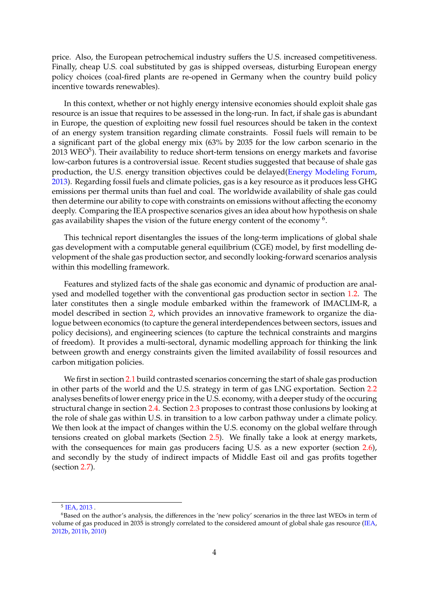price. Also, the European petrochemical industry suffers the U.S. increased competitiveness. Finally, cheap U.S. coal substituted by gas is shipped overseas, disturbing European energy policy choices (coal-fired plants are re-opened in Germany when the country build policy incentive towards renewables).

In this context, whether or not highly energy intensive economies should exploit shale gas resource is an issue that requires to be assessed in the long-run. In fact, if shale gas is abundant in Europe, the question of exploiting new fossil fuel resources should be taken in the context of an energy system transition regarding climate constraints. Fossil fuels will remain to be a significant part of the global energy mix (63% by 2035 for the low carbon scenario in the  $2013$  WEO<sup>5</sup>). Their availability to reduce short-term tensions on energy markets and favorise low-carbon futures is a controversial issue. Recent studies suggested that because of shale gas production, the U.S. energy transition objectives could be delayed(Energy Modeling Forum, 2013). Regarding fossil fuels and climate policies, gas is a key resource as it produces less GHG emissions per thermal units than fuel and coal. The worldwide availability of shale gas could then determine our ability to cope with constraints on emissions without affecting the economy deeply. Comparing the IEA prospective scenarios gives an idea about how hypothesis on shale gas availability shapes the vision of the future energy content of the economy 6.

This technical report disentangles the issues of the long-term implications of global shale gas development with a computable general equilibrium (CGE) model, by first modelling development of the shale gas production sector, and secondly looking-forward scenarios analysis within this modelling framework.

Features and stylized facts of the shale gas economic and dynamic of production are analysed and modelled together with the conventional gas production sector in section 1.2. The later constitutes then a single module embarked within the framework of IMACLIM-R, a model described in section 2, which provides an innovative framework to organize the dialogue between economics (to capture the general interdependences between sectors, issues and policy decisions), and engineering sciences (to capture the technical constraints and margins of freedom). It provides a multi-sectoral, dynamic modelling approach for thinking the link between growth and energy constraints given the limited availability of fossil resources and carbon mitigation policies.

We first in section 2.1 build contrasted scenarios concerning the start of shale gas production in other parts of the world and the U.S. strategy in term of gas LNG exportation. Section 2.2 analyses benefits of lower energy price in the U.S. economy, with a deeper study of the occuring structural change in section 2.4. Section 2.3 proposes to contrast those conlusions by looking at the role of shale gas within U.S. in transition to a low carbon pathway under a climate policy. We then look at the impact of changes within the U.S. economy on the global welfare through tensions created on global markets (Section 2.5). We finally take a look at energy markets, with the consequences for main gas producers facing U.S. as a new exporter (section 2.6), and secondly by the study of indirect impacts of Middle East oil and gas profits together (section 2.7).

<sup>5</sup> IEA, 2013 .

<sup>&</sup>lt;sup>6</sup>Based on the author's analysis, the differences in the 'new policy' scenarios in the three last WEOs in term of volume of gas produced in 2035 is strongly correlated to the considered amount of global shale gas resource (IEA, 2012b, 2011b, 2010)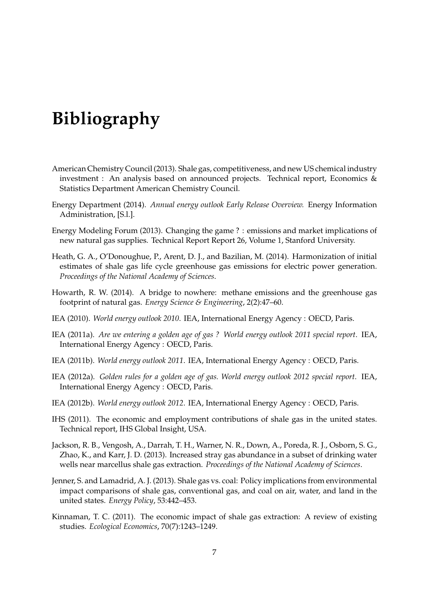## Bibliography

- American Chemistry Council (2013). Shale gas, competitiveness, and new US chemical industry investment : An analysis based on announced projects. Technical report, Economics & Statistics Department American Chemistry Council.
- Energy Department (2014). Annual energy outlook Early Release Overview. Energy Information Administration, [S.l.].
- Energy Modeling Forum (2013). Changing the game ? : emissions and market implications of new natural gas supplies. Technical Report Report 26, Volume 1, Stanford University.
- Heath, G. A., O'Donoughue, P., Arent, D. J., and Bazilian, M. (2014). Harmonization of initial estimates of shale gas life cycle greenhouse gas emissions for electric power generation. Proceedings of the National Academy of Sciences.
- Howarth, R. W. (2014). A bridge to nowhere: methane emissions and the greenhouse gas footprint of natural gas. Energy Science & Engineering, 2(2):47–60.
- IEA (2010). World energy outlook 2010. IEA, International Energy Agency : OECD, Paris.
- IEA (2011a). Are we entering a golden age of gas ? World energy outlook 2011 special report. IEA, International Energy Agency : OECD, Paris.
- IEA (2011b). World energy outlook 2011. IEA, International Energy Agency : OECD, Paris.
- IEA (2012a). Golden rules for a golden age of gas. World energy outlook 2012 special report. IEA, International Energy Agency : OECD, Paris.
- IEA (2012b). World energy outlook 2012. IEA, International Energy Agency : OECD, Paris.
- IHS (2011). The economic and employment contributions of shale gas in the united states. Technical report, IHS Global Insight, USA.
- Jackson, R. B., Vengosh, A., Darrah, T. H., Warner, N. R., Down, A., Poreda, R. J., Osborn, S. G., Zhao, K., and Karr, J. D. (2013). Increased stray gas abundance in a subset of drinking water wells near marcellus shale gas extraction. *Proceedings of the National Academy of Sciences*.
- Jenner, S. and Lamadrid, A. J. (2013). Shale gas vs. coal: Policy implications from environmental impact comparisons of shale gas, conventional gas, and coal on air, water, and land in the united states. Energy Policy, 53:442–453.
- Kinnaman, T. C. (2011). The economic impact of shale gas extraction: A review of existing studies. Ecological Economics, 70(7):1243–1249.